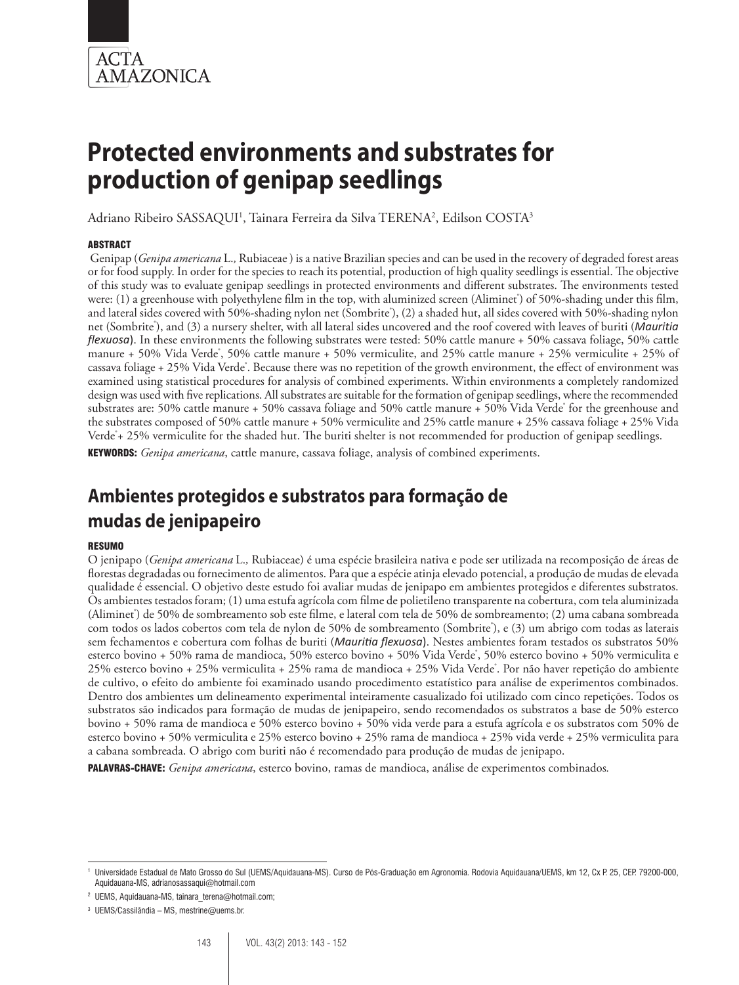

Adriano Ribeiro SASSAQUI<sup>1</sup>, Tainara Ferreira da Silva TERENA<sup>2</sup>, Edilson COSTA<sup>3</sup>

#### **ARSTRACT**

 Genipap (*Genipa americana* L.*,* Rubiaceae) is a native Brazilian species and can be used in the recovery of degraded forest areas or for food supply. In order for the species to reach its potential, production of high quality seedlings is essential. The objective of this study was to evaluate genipap seedlings in protected environments and different substrates. The environments tested were: (1) a greenhouse with polyethylene film in the top, with aluminized screen (Aliminet) of 50%-shading under this film, and lateral sides covered with 50%-shading nylon net (Sombriteʾ), (2) a shaded hut, all sides covered with 50%-shading nylon net (Sombrite® ), and (3) a nursery shelter, with all lateral sides uncovered and the roof covered with leaves of buriti (*Mauritia flexuosa*). In these environments the following substrates were tested: 50% cattle manure + 50% cassava foliage, 50% cattle manure + 50% Vida Verde<sup>\*</sup>, 50% cattle manure + 50% vermiculite, and 25% cattle manure + 25% vermiculite + 25% of cassava foliage + 25% Vida Verde<sup>\*</sup>. Because there was no repetition of the growth environment, the effect of environment was examined using statistical procedures for analysis of combined experiments. Within environments a completely randomized design was used with five replications. All substrates are suitable for the formation of genipap seedlings, where the recommended substrates are: 50% cattle manure + 50% cassava foliage and 50% cattle manure + 50% Vida Verde˚ for the greenhouse and the substrates composed of 50% cattle manure + 50% vermiculite and 25% cattle manure + 25% cassava foliage + 25% Vida Verde\*+ 25% vermiculite for the shaded hut. The buriti shelter is not recommended for production of genipap seedlings. KEYWORDS: *Genipa americana*, cattle manure, cassava foliage, analysis of combined experiments.

# **Ambientes protegidos e substratos para formação de mudas de jenipapeiro**

#### **RESUMO**

O jenipapo (*Genipa americana* L.*,* Rubiaceae) é uma espécie brasileira nativa e pode ser utilizada na recomposição de áreas de florestas degradadas ou fornecimento de alimentos. Para que a espécie atinja elevado potencial, a produção de mudas de elevada qualidade é essencial. O objetivo deste estudo foi avaliar mudas de jenipapo em ambientes protegidos e diferentes substratos. Os ambientes testados foram; (1) uma estufa agrícola com filme de polietileno transparente na cobertura, com tela aluminizada (Aliminet) de 50% de sombreamento sob este filme, e lateral com tela de 50% de sombreamento; (2) uma cabana sombreada com todos os lados cobertos com tela de nylon de 50% de sombreamento (Sombrite® ), e (3) um abrigo com todas as laterais sem fechamentos e cobertura com folhas de buriti (*Mauritia flexuosa*). Nestes ambientes foram testados os substratos 50% esterco bovino + 50% rama de mandioca, 50% esterco bovino + 50% Vida Verde<sup>\*</sup>, 50% esterco bovino + 50% vermiculita e 25% esterco bovino + 25% vermiculita + 25% rama de mandioca + 25% Vida Verde® . Por não haver repetição do ambiente de cultivo, o efeito do ambiente foi examinado usando procedimento estatístico para análise de experimentos combinados. Dentro dos ambientes um delineamento experimental inteiramente casualizado foi utilizado com cinco repetições. Todos os substratos são indicados para formação de mudas de jenipapeiro, sendo recomendados os substratos a base de 50% esterco bovino + 50% rama de mandioca e 50% esterco bovino + 50% vida verde para a estufa agrícola e os substratos com 50% de esterco bovino + 50% vermiculita e 25% esterco bovino + 25% rama de mandioca + 25% vida verde + 25% vermiculita para a cabana sombreada. O abrigo com buriti não é recomendado para produção de mudas de jenipapo.

PALAVRAS-CHAVE: *Genipa americana*, esterco bovino, ramas de mandioca, análise de experimentos combinados*.*

<sup>1</sup> Universidade Estadual de Mato Grosso do Sul (UEMS/Aquidauana-MS). Curso de Pós-Graduação em Agronomia. Rodovia Aquidauana/UEMS, km 12, Cx P. 25, CEP. 79200-000, Aquidauana-MS, adrianosassaqui@hotmail.com

<sup>&</sup>lt;sup>2</sup> UEMS, Aquidauana-MS, tainara\_terena@hotmail.com;

<sup>3</sup> UEMS/Cassilândia – MS, mestrine@uems.br.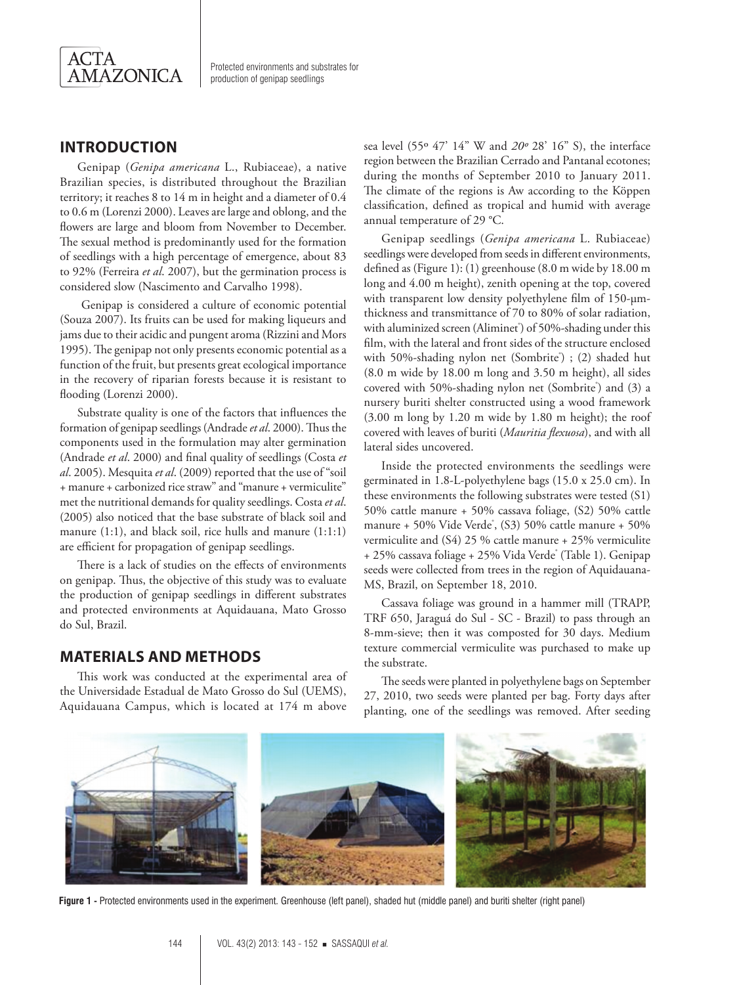

# **INTRODUCTION**

Genipap (*Genipa americana* L., Rubiaceae), a native Brazilian species, is distributed throughout the Brazilian territory; it reaches 8 to 14 m in height and a diameter of 0.4 to 0.6 m (Lorenzi 2000). Leaves are large and oblong, and the flowers are large and bloom from November to December. The sexual method is predominantly used for the formation of seedlings with a high percentage of emergence, about 83 to 92% (Ferreira *et al*. 2007), but the germination process is considered slow (Nascimento and Carvalho 1998).

 Genipap is considered a culture of economic potential (Souza 2007). Its fruits can be used for making liqueurs and jams due to their acidic and pungent aroma (Rizzini and Mors 1995). The genipap not only presents economic potential as a function of the fruit, but presents great ecological importance in the recovery of riparian forests because it is resistant to flooding (Lorenzi 2000).

Substrate quality is one of the factors that influences the formation of genipap seedlings (Andrade *et al*. 2000). Thus the components used in the formulation may alter germination (Andrade *et al*. 2000) and final quality of seedlings (Costa *et al*. 2005). Mesquita *et al*. (2009) reported that the use of "soil + manure + carbonized rice straw" and "manure + vermiculite" met the nutritional demands for quality seedlings. Costa *et al*. (2005) also noticed that the base substrate of black soil and manure (1:1), and black soil, rice hulls and manure (1:1:1) are efficient for propagation of genipap seedlings.

There is a lack of studies on the effects of environments on genipap. Thus, the objective of this study was to evaluate the production of genipap seedlings in different substrates and protected environments at Aquidauana, Mato Grosso do Sul, Brazil.

## **MATERIALS AND METHODS**

This work was conducted at the experimental area of the Universidade Estadual de Mato Grosso do Sul (UEMS), Aquidauana Campus, which is located at 174 m above

sea level (55º 47' 14" W and *20º* 28' 16" S), the interface region between the Brazilian Cerrado and Pantanal ecotones; during the months of September 2010 to January 2011. The climate of the regions is Aw according to the Köppen classification, defined as tropical and humid with average annual temperature of 29 °C.

Genipap seedlings (*Genipa americana* L. Rubiaceae) seedlings were developed from seeds in different environments, defined as (Figure 1): (1) greenhouse (8.0 m wide by 18.00 m long and 4.00 m height), zenith opening at the top, covered with transparent low density polyethylene film of 150-µmthickness and transmittance of 70 to 80% of solar radiation, with aluminized screen (Aliminet) of 50%-shading under this film, with the lateral and front sides of the structure enclosed with 50%-shading nylon net (Sombrite<sup>®</sup>) ; (2) shaded hut (8.0 m wide by 18.00 m long and 3.50 m height), all sides covered with 50%-shading nylon net (Sombrite<sup>®</sup>) and (3) a nursery buriti shelter constructed using a wood framework (3.00 m long by 1.20 m wide by 1.80 m height); the roof covered with leaves of buriti (*Mauritia flexuosa*), and with all lateral sides uncovered.

Inside the protected environments the seedlings were germinated in 1.8-L-polyethylene bags (15.0 x 25.0 cm). In these environments the following substrates were tested (S1) 50% cattle manure + 50% cassava foliage, (S2) 50% cattle manure + 50% Vide Verde<sup>\*</sup>,  $(S3)$  50% cattle manure + 50% vermiculite and (S4) 25 % cattle manure + 25% vermiculite + 25% cassava foliage + 25% Vida Verde® (Table 1). Genipap seeds were collected from trees in the region of Aquidauana-MS, Brazil, on September 18, 2010.

Cassava foliage was ground in a hammer mill (TRAPP, TRF 650, Jaraguá do Sul - SC - Brazil) to pass through an 8-mm-sieve; then it was composted for 30 days. Medium texture commercial vermiculite was purchased to make up the substrate.

The seeds were planted in polyethylene bags on September 27, 2010, two seeds were planted per bag. Forty days after planting, one of the seedlings was removed. After seeding



**Figure 1 -** Protected environments used in the experiment. Greenhouse (left panel), shaded hut (middle panel) and buriti shelter (right panel)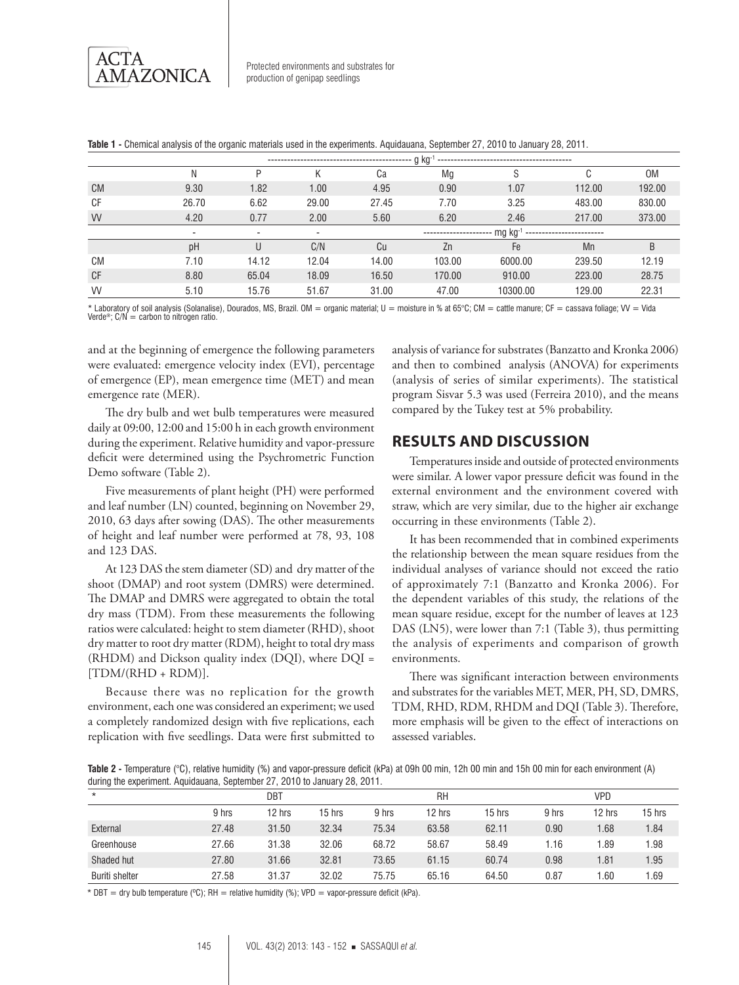|           |                          | $q$ kg <sup>-1</sup> |       |       |        |                                                |        |        |  |  |  |  |
|-----------|--------------------------|----------------------|-------|-------|--------|------------------------------------------------|--------|--------|--|--|--|--|
|           | N                        |                      |       | Ca    | Mq     | S                                              |        | 0M     |  |  |  |  |
| <b>CM</b> | 9.30                     | 1.82                 | 1.00  | 4.95  | 0.90   | 1.07                                           | 112.00 | 192.00 |  |  |  |  |
| CF        | 26.70                    | 6.62                 | 29.00 | 27.45 | 7.70   | 3.25                                           | 483.00 | 830.00 |  |  |  |  |
| <b>VV</b> | 4.20                     | 0.77                 | 2.00  | 5.60  | 6.20   | 2.46                                           | 217.00 | 373.00 |  |  |  |  |
|           | $\overline{\phantom{0}}$ | -                    |       |       |        | mg kg <sup>-1</sup> -------------------------- |        |        |  |  |  |  |
|           | pH                       | U                    | C/N   | Cu    | Zn     | Fe                                             | Mn     | B      |  |  |  |  |
| <b>CM</b> | 7.10                     | 14.12                | 12.04 | 14.00 | 103.00 | 6000.00                                        | 239.50 | 12.19  |  |  |  |  |
| <b>CF</b> | 8.80                     | 65.04                | 18.09 | 16.50 | 170.00 | 910.00                                         | 223.00 | 28.75  |  |  |  |  |
| <b>VV</b> | 5.10                     | 15.76                | 51.67 | 31.00 | 47.00  | 10300.00                                       | 129.00 | 22.31  |  |  |  |  |

**Table 1 -** Chemical analysis of the organic materials used in the experiments. Aquidauana, September 27, 2010 to January 28, 2011.

\* Laboratory of soil analysis (Solanalise), Dourados, MS, Brazil. OM = organic material; U = moisture in % at 65°C; CM = cattle manure; CF = cassava foliage; VV = Vida Verde<sup>®</sup>;  $C/N =$  carbon to nitrogen ratio.

and at the beginning of emergence the following parameters were evaluated: emergence velocity index (EVI), percentage of emergence (EP), mean emergence time (MET) and mean emergence rate (MER).

The dry bulb and wet bulb temperatures were measured daily at 09:00, 12:00 and 15:00 h in each growth environment during the experiment. Relative humidity and vapor-pressure deficit were determined using the Psychrometric Function Demo software (Table 2).

Five measurements of plant height (PH) were performed and leaf number (LN) counted, beginning on November 29, 2010, 63 days after sowing (DAS). The other measurements of height and leaf number were performed at 78, 93, 108 and 123 DAS.

At 123 DAS the stem diameter (SD) and dry matter of the shoot (DMAP) and root system (DMRS) were determined. The DMAP and DMRS were aggregated to obtain the total dry mass (TDM). From these measurements the following ratios were calculated: height to stem diameter (RHD), shoot dry matter to root dry matter (RDM), height to total dry mass (RHDM) and Dickson quality index (DQI), where DQI =  $[TDM/(RHD + RDM)].$ 

Because there was no replication for the growth environment, each one was considered an experiment; we used a completely randomized design with five replications, each replication with five seedlings. Data were first submitted to

analysis of variance for substrates (Banzatto and Kronka 2006) and then to combined analysis (ANOVA) for experiments (analysis of series of similar experiments). The statistical program Sisvar 5.3 was used (Ferreira 2010), and the means compared by the Tukey test at 5% probability.

# **RESULTS AND DISCUSSION**

Temperatures inside and outside of protected environments were similar. A lower vapor pressure deficit was found in the external environment and the environment covered with straw, which are very similar, due to the higher air exchange occurring in these environments (Table 2).

It has been recommended that in combined experiments the relationship between the mean square residues from the individual analyses of variance should not exceed the ratio of approximately 7:1 (Banzatto and Kronka 2006). For the dependent variables of this study, the relations of the mean square residue, except for the number of leaves at 123 DAS (LN5), were lower than 7:1 (Table 3), thus permitting the analysis of experiments and comparison of growth environments.

There was significant interaction between environments and substrates for the variables MET, MER, PH, SD, DMRS, TDM, RHD, RDM, RHDM and DQI (Table 3). Therefore, more emphasis will be given to the effect of interactions on assessed variables.

**Table 2 -** Temperature (°C), relative humidity (%) and vapor-pressure deficit (kPa) at 09h 00 min, 12h 00 min and 15h 00 min for each environment (A) during the experiment. Aquidauana, September 27, 2010 to January 28, 2011.

| $\star$               |       |        | DBT<br><b>RH</b> |       |        |        | <b>VPD</b> |        |        |
|-----------------------|-------|--------|------------------|-------|--------|--------|------------|--------|--------|
|                       | 9 hrs | 12 hrs | 15 hrs           | 9 hrs | 12 hrs | 15 hrs | 9 hrs      | 12 hrs | 15 hrs |
| External              | 27.48 | 31.50  | 32.34            | 75.34 | 63.58  | 62.11  | 0.90       | 1.68   | 1.84   |
| Greenhouse            | 27.66 | 31.38  | 32.06            | 68.72 | 58.67  | 58.49  | 1.16       | 1.89   | 1.98   |
| Shaded hut            | 27.80 | 31.66  | 32.81            | 73.65 | 61.15  | 60.74  | 0.98       | 1.81   | 1.95   |
| <b>Buriti shelter</b> | 27.58 | 31.37  | 32.02            | 75.75 | 65.16  | 64.50  | 0.87       | 1.60   | 1.69   |

\* DBT = dry bulb temperature (°C); RH = relative humidity (%); VPD = vapor-pressure deficit (kPa).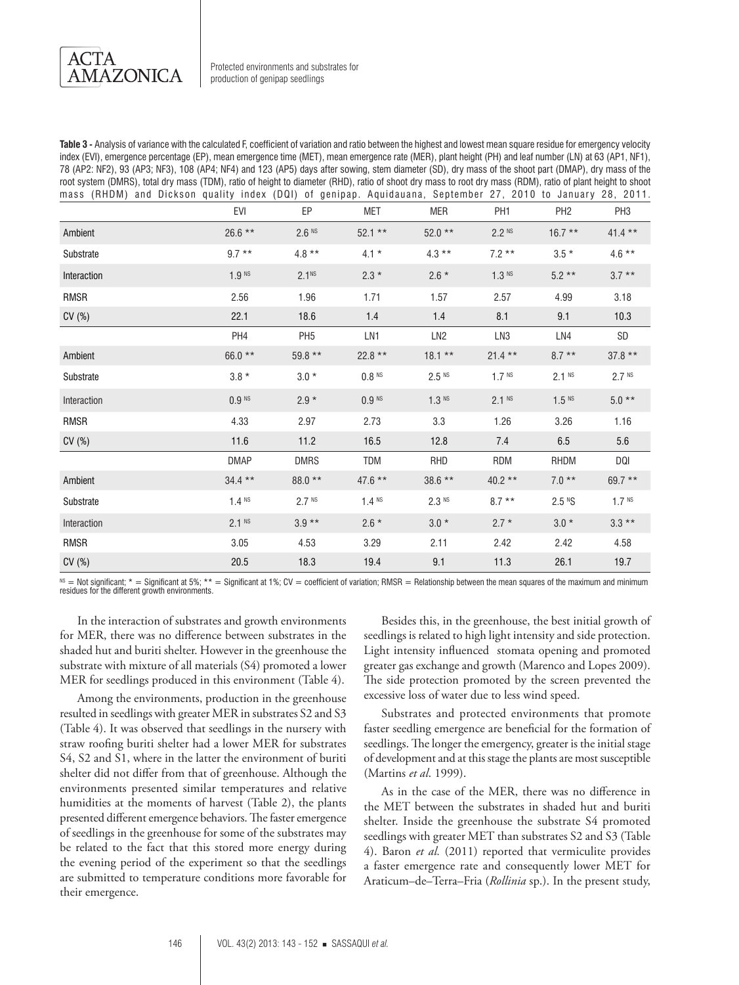**ACTA AMAZONICA** 

**Table 3 -** Analysis of variance with the calculated F, coefficient of variation and ratio between the highest and lowest mean square residue for emergency velocity index (EVI), emergence percentage (EP), mean emergence time (MET), mean emergence rate (MER), plant height (PH) and leaf number (LN) at 63 (AP1, NF1), 78 (AP2: NF2), 93 (AP3; NF3), 108 (AP4; NF4) and 123 (AP5) days after sowing, stem diameter (SD), dry mass of the shoot part (DMAP), dry mass of the root system (DMRS), total dry mass (TDM), ratio of height to diameter (RHD), ratio of shoot dry mass to root dry mass (RDM), ratio of plant height to shoot mass (RHDM) and Dickson quality index (DQI) of genipap. Aquidauana, September 27, 2010 to January 28, 2011.

|             | EVI               | EP                | <b>MET</b>          | <b>MER</b>          | PH <sub>1</sub>   | PH <sub>2</sub>     | PH <sub>3</sub>   |
|-------------|-------------------|-------------------|---------------------|---------------------|-------------------|---------------------|-------------------|
| Ambient     | $26.6$ **         | $2.6$ NS          | $52.1**$            | $52.0**$            | $2.2$ NS          | $16.7**$            | $41.4$ **         |
| Substrate   | $9.7***$          | $4.8***$          | $4.1 *$             | $4.3***$            | $7.2**$           | $3.5*$              | $4.6**$           |
| Interaction | 1.9 <sup>NS</sup> | 2.1 <sup>NS</sup> | $2.3*$              | $2.6*$              | $1.3$ NS          | $5.2**$             | $3.7**$           |
| RMSR        | 2.56              | 1.96              | 1.71                | 1.57                | 2.57              | 4.99                | 3.18              |
| CV (%)      | 22.1              | 18.6              | 1.4                 | 1.4                 | 8.1               | 9.1                 | 10.3              |
|             | PH <sub>4</sub>   | PH <sub>5</sub>   | LN1                 | LN <sub>2</sub>     | LN3               | LN4                 | SD                |
| Ambient     | 66.0 **           | $59.8**$          | $22.8$ **           | $18.1**$            | $21.4**$          | $8.7**$             | $37.8**$          |
| Substrate   | $3.8 *$           | $3.0*$            | $0.8$ <sup>NS</sup> | $2.5$ <sup>NS</sup> | 1.7 <sup>NS</sup> | $2.1$ NS            | 2.7 Ns            |
| Interaction | $0.9$ NS          | $2.9*$            | $0.9$ NS            | 1.3 <sup>NS</sup>   | $2.1$ NS          | $1.5$ <sup>NS</sup> | $5.0**$           |
| <b>RMSR</b> | 4.33              | 2.97              | 2.73                | 3.3                 | 1.26              | 3.26                | 1.16              |
| CV (%)      | 11.6              | 11.2              | 16.5                | 12.8                | 7.4               | 6.5                 | 5.6               |
|             | <b>DMAP</b>       | <b>DMRS</b>       | <b>TDM</b>          | <b>RHD</b>          | <b>RDM</b>        | <b>RHDM</b>         | DQI               |
| Ambient     | $34.4$ **         | $88.0**$          | $47.6$ **           | $38.6**$            | $40.2**$          | $7.0**$             | $69.7**$          |
| Substrate   | 1.4 <sup>NS</sup> | 2.7 <sup>NS</sup> | 1.4 <sup>NS</sup>   | 2.3 <sup>NS</sup>   | $8.7***$          | 2.5 <sup>N</sup> S  | 1.7 <sup>NS</sup> |
| Interaction | 2.1 <sup>NS</sup> | $3.9**$           | $2.6*$              | $3.0*$              | $2.7*$            | $3.0*$              | $3.3**$           |
| RMSR        | 3.05              | 4.53              | 3.29                | 2.11                | 2.42              | 2.42                | 4.58              |
| CV (%)      | 20.5              | 18.3              | 19.4                | 9.1                 | 11.3              | 26.1                | 19.7              |

 $N$ S = Not significant; \* = Significant at 5%; \*\* = Significant at 1%; CV = coefficient of variation; RMSR = Relationship between the mean squares of the maximum and minimum residues for the different growth environments.

In the interaction of substrates and growth environments for MER, there was no difference between substrates in the shaded hut and buriti shelter. However in the greenhouse the substrate with mixture of all materials (S4) promoted a lower MER for seedlings produced in this environment (Table 4).

Among the environments, production in the greenhouse resulted in seedlings with greater MER in substrates S2 and S3 (Table 4). It was observed that seedlings in the nursery with straw roofing buriti shelter had a lower MER for substrates S4, S2 and S1, where in the latter the environment of buriti shelter did not differ from that of greenhouse. Although the environments presented similar temperatures and relative humidities at the moments of harvest (Table 2), the plants presented different emergence behaviors. The faster emergence of seedlings in the greenhouse for some of the substrates may be related to the fact that this stored more energy during the evening period of the experiment so that the seedlings are submitted to temperature conditions more favorable for their emergence.

Besides this, in the greenhouse, the best initial growth of seedlings is related to high light intensity and side protection. Light intensity influenced stomata opening and promoted greater gas exchange and growth (Marenco and Lopes 2009). The side protection promoted by the screen prevented the excessive loss of water due to less wind speed.

Substrates and protected environments that promote faster seedling emergence are beneficial for the formation of seedlings. The longer the emergency, greater is the initial stage of development and at this stage the plants are most susceptible (Martins *et al*. 1999).

As in the case of the MER, there was no difference in the MET between the substrates in shaded hut and buriti shelter. Inside the greenhouse the substrate S4 promoted seedlings with greater MET than substrates S2 and S3 (Table 4). Baron et al. (2011) reported that vermiculite provides a faster emergence rate and consequently lower MET for Araticum–de–Terra–Fria (*Rollinia* sp.). In the present study,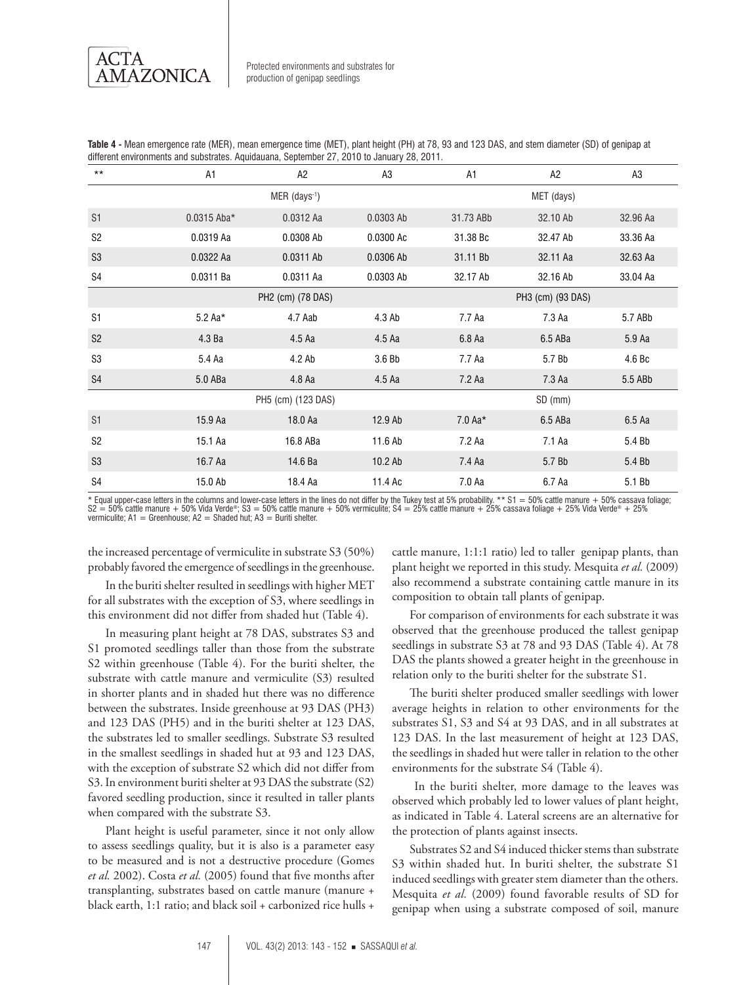ACTA **AMAZONICA** 

| $***$          | A1          | A2                 |                   | A1         | A2       | A3       |  |  |
|----------------|-------------|--------------------|-------------------|------------|----------|----------|--|--|
|                |             | MER (days-1)       |                   | MET (days) |          |          |  |  |
| S <sub>1</sub> | 0.0315 Aba* | 0.0312 Aa          | 0.0303 Ab         | 31.73 ABb  | 32.10 Ab | 32.96 Aa |  |  |
| S <sub>2</sub> | 0.0319 Aa   | 0.0308 Ab          | 0.0300 Ac         | 31.38 Bc   | 32.47 Ab | 33.36 Aa |  |  |
| S <sub>3</sub> | 0.0322 Aa   | 0.0311 Ab          | 0.0306 Ab         | 31.11 Bb   | 32.11 Aa | 32.63 Aa |  |  |
| S4             | 0.0311 Ba   | 0.0311 Aa          | 0.0303 Ab         | 32.17 Ab   | 32.16 Ab | 33.04 Aa |  |  |
|                |             | PH2 (cm) (78 DAS)  | PH3 (cm) (93 DAS) |            |          |          |  |  |
| S <sub>1</sub> | $5.2$ Aa*   | 4.7 Aab            | 4.3 Ab            | 7.7 Aa     | 7.3 Aa   | 5.7 ABb  |  |  |
| S <sub>2</sub> | 4.3 Ba      | 4.5 Aa             | 4.5 Aa            | 6.8 Aa     | 6.5 ABa  | 5.9 Aa   |  |  |
| S <sub>3</sub> | 5.4 Aa      | 4.2 Ab             | 3.6 Bb            | 7.7 Aa     | 5.7 Bb   | 4.6 Bc   |  |  |
| S <sub>4</sub> | 5.0 ABa     | 4.8 Aa             | 4.5 Aa            | 7.2 Aa     | 7.3 Aa   | 5.5 ABb  |  |  |
|                |             | PH5 (cm) (123 DAS) |                   |            | SD (mm)  |          |  |  |
| S <sub>1</sub> | 15.9 Aa     | 18.0 Aa            | 12.9 Ab           | $7.0 Aa*$  | 6.5 ABa  | 6.5 Aa   |  |  |
| S <sub>2</sub> | 15.1 Aa     | 16.8 ABa           | 11.6 Ab           | 7.2 Aa     | 7.1 Aa   | 5.4 Bb   |  |  |
| S <sub>3</sub> | 16.7 Aa     | 14.6 Ba            | 10.2 Ab           | 7.4 Aa     | 5.7 Bb   | 5.4 Bb   |  |  |
| S4             | 15.0 Ab     | 18.4 Aa            | 11.4 Ac           | 7.0 Aa     | 6.7 Aa   | 5.1 Bb   |  |  |

**Table 4 -** Mean emergence rate (MER), mean emergence time (MET), plant height (PH) at 78, 93 and 123 DAS, and stem diameter (SD) of genipap at different environments and substrates. Aquidauana, September 27, 2010 to January 28, 2011.

\* Equal upper-case letters in the columns and lower-case letters in the lines do not differ by the Tukey test at 5% probability. \*\* S1 = 50% cattle manure + 50% cassava foliage;  $S2 = 50\%$  cattle manure + 50% Vida Verde®; S3 = 50% cattle manure + 50% vermiculite; S4 = 25% cattle manure + 25% cattle manure + 25% cattle manure + 25% cattle manure + 25% cattle manure + 25% cattle manure + 25% cattle vermiculite;  $A1 =$  Greenhouse;  $A2 =$  Shaded hut;  $A3 =$  Buriti shelter.

the increased percentage of vermiculite in substrate S3 (50%) probably favored the emergence of seedlings in the greenhouse.

In the buriti shelter resulted in seedlings with higher MET for all substrates with the exception of S3, where seedlings in this environment did not differ from shaded hut (Table 4).

In measuring plant height at 78 DAS, substrates S3 and S1 promoted seedlings taller than those from the substrate S2 within greenhouse (Table 4). For the buriti shelter, the substrate with cattle manure and vermiculite (S3) resulted in shorter plants and in shaded hut there was no difference between the substrates. Inside greenhouse at 93 DAS (PH3) and 123 DAS (PH5) and in the buriti shelter at 123 DAS, the substrates led to smaller seedlings. Substrate S3 resulted in the smallest seedlings in shaded hut at 93 and 123 DAS, with the exception of substrate S2 which did not differ from S3. In environment buriti shelter at 93 DAS the substrate (S2) favored seedling production, since it resulted in taller plants when compared with the substrate S3.

Plant height is useful parameter, since it not only allow to assess seedlings quality, but it is also is a parameter easy to be measured and is not a destructive procedure (Gomes *et al.* 2002). Costa *et al.* (2005) found that five months after transplanting, substrates based on cattle manure (manure + black earth, 1:1 ratio; and black soil + carbonized rice hulls +

cattle manure, 1:1:1 ratio) led to taller genipap plants, than plant height we reported in this study. Mesquita *et al.* (2009) also recommend a substrate containing cattle manure in its composition to obtain tall plants of genipap.

For comparison of environments for each substrate it was observed that the greenhouse produced the tallest genipap seedlings in substrate S3 at 78 and 93 DAS (Table 4). At 78 DAS the plants showed a greater height in the greenhouse in relation only to the buriti shelter for the substrate S1.

The buriti shelter produced smaller seedlings with lower average heights in relation to other environments for the substrates S1, S3 and S4 at 93 DAS, and in all substrates at 123 DAS. In the last measurement of height at 123 DAS, the seedlings in shaded hut were taller in relation to the other environments for the substrate S4 (Table 4).

 In the buriti shelter, more damage to the leaves was observed which probably led to lower values of plant height, as indicated in Table 4. Lateral screens are an alternative for the protection of plants against insects.

Substrates S2 and S4 induced thicker stems than substrate S3 within shaded hut. In buriti shelter, the substrate S1 induced seedlings with greater stem diameter than the others. Mesquita *et al.* (2009) found favorable results of SD for genipap when using a substrate composed of soil, manure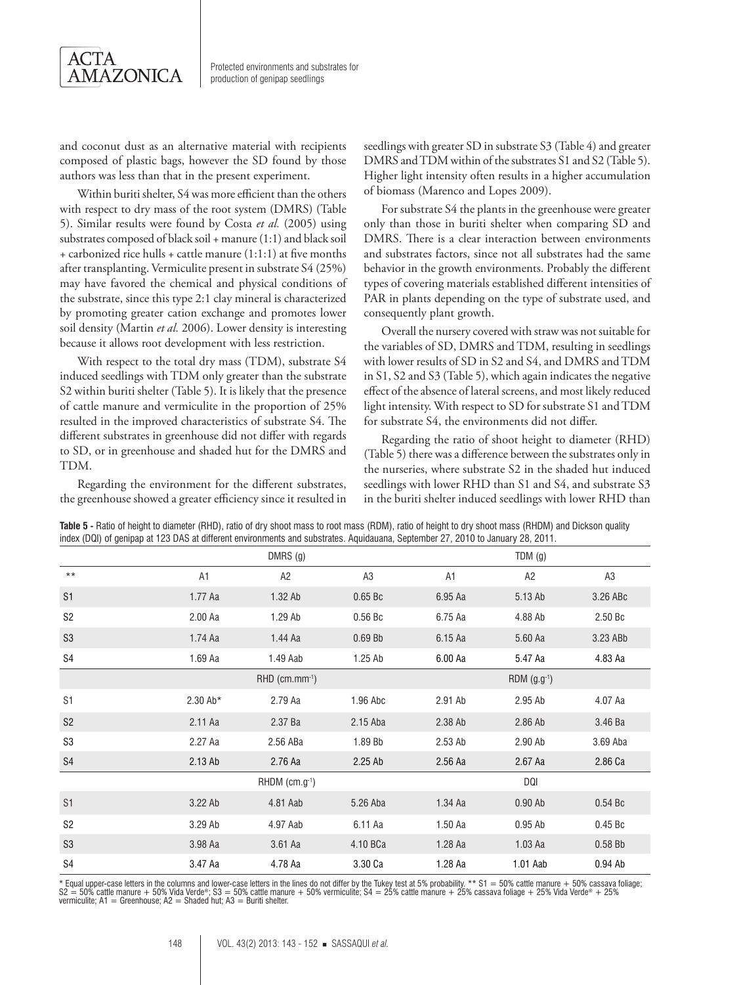

and coconut dust as an alternative material with recipients composed of plastic bags, however the SD found by those authors was less than that in the present experiment.

Within buriti shelter, S4 was more efficient than the others with respect to dry mass of the root system (DMRS) (Table 5). Similar results were found by Costa *et al.* (2005) using substrates composed of black soil + manure (1:1) and black soil + carbonized rice hulls + cattle manure (1:1:1) at five months after transplanting. Vermiculite present in substrate S4 (25%) may have favored the chemical and physical conditions of the substrate, since this type 2:1 clay mineral is characterized by promoting greater cation exchange and promotes lower soil density (Martin *et al.* 2006). Lower density is interesting because it allows root development with less restriction.

With respect to the total dry mass (TDM), substrate S4 induced seedlings with TDM only greater than the substrate S2 within buriti shelter (Table 5). It is likely that the presence of cattle manure and vermiculite in the proportion of 25% resulted in the improved characteristics of substrate S4. The different substrates in greenhouse did not differ with regards to SD, or in greenhouse and shaded hut for the DMRS and TDM.

Regarding the environment for the different substrates, the greenhouse showed a greater efficiency since it resulted in seedlings with greater SD in substrate S3 (Table 4) and greater DMRS and TDM within of the substrates S1 and S2 (Table 5). Higher light intensity often results in a higher accumulation of biomass (Marenco and Lopes 2009).

For substrate S4 the plants in the greenhouse were greater only than those in buriti shelter when comparing SD and DMRS. There is a clear interaction between environments and substrates factors, since not all substrates had the same behavior in the growth environments. Probably the different types of covering materials established different intensities of PAR in plants depending on the type of substrate used, and consequently plant growth.

Overall the nursery covered with straw was not suitable for the variables of SD, DMRS and TDM, resulting in seedlings with lower results of SD in S2 and S4, and DMRS and TDM in S1, S2 and S3 (Table 5), which again indicates the negative effect of the absence of lateral screens, and most likely reduced light intensity. With respect to SD for substrate S1 and TDM for substrate S4, the environments did not differ.

Regarding the ratio of shoot height to diameter (RHD) (Table 5) there was a difference between the substrates only in the nurseries, where substrate S2 in the shaded hut induced seedlings with lower RHD than S1 and S4, and substrate S3 in the buriti shelter induced seedlings with lower RHD than

|                |            | $DMRS$ (g)                   |                    |         | TDM(g)           |                    |
|----------------|------------|------------------------------|--------------------|---------|------------------|--------------------|
| $***$          | A1         | A <sub>2</sub>               | A <sub>3</sub>     | A1      | A <sub>2</sub>   | A3                 |
| S <sub>1</sub> | 1.77 Aa    | 1.32 Ab                      | 0.65 <sub>Bc</sub> | 6.95 Aa | 5.13 Ab          | 3.26 ABc           |
| S <sub>2</sub> | 2.00 Aa    | 1.29 Ab                      | 0.56Bc             | 6.75 Aa | 4.88 Ab          | 2.50 Bc            |
| S <sub>3</sub> | 1.74 Aa    | 1.44 Aa                      | 0.69Bb             | 6.15 Aa | 5.60 Aa          | 3.23 ABb           |
| S4             | 1.69 Aa    | 1.49 Aab                     | $1.25$ Ab          | 6.00 Aa | 5.47 Aa          | 4.83 Aa            |
|                |            | $RHD$ (cm.mm $^{-1}$ )       |                    |         | RDM $(g.g^{-1})$ |                    |
| S <sub>1</sub> | $2.30$ Ab* | 2.79 Aa                      | 1.96 Abc           | 2.91 Ab | 2.95 Ab          | 4.07 Aa            |
| S <sub>2</sub> | 2.11 Aa    | 2.37 Ba                      | 2.15 Aba           | 2.38 Ab | 2.86 Ab          | 3.46 Ba            |
| S <sub>3</sub> | 2.27 Aa    | 2.56 ABa                     | 1.89 Bb            | 2.53 Ab | 2.90 Ab          | 3.69 Aba           |
| S4             | 2.13 Ab    | 2.76 Aa                      | 2.25 Ab            | 2.56 Aa | 2.67 Aa          | 2.86 Ca            |
|                |            | $RHDM$ (cm.g <sup>-1</sup> ) |                    |         | DQI              |                    |
| S <sub>1</sub> | 3.22 Ab    | 4.81 Aab                     | 5.26 Aba           | 1.34 Aa | $0.90$ Ab        | 0.54 <sub>Bc</sub> |
| S <sub>2</sub> | 3.29 Ab    | 4.97 Aab                     | 6.11 Aa            | 1.50 Aa | $0.95$ Ab        | 0.45 <sub>Bc</sub> |
| S <sub>3</sub> | 3.98 Aa    | 3.61 Aa                      | 4.10 BCa           | 1.28 Aa | $1.03$ Aa        | 0.58Bb             |
| S <sub>4</sub> | 3.47 Aa    | 4.78 Aa                      | 3.30 Ca            | 1.28 Aa | 1.01 Aab         | 0.94 Ab            |

**Table 5 -** Ratio of height to diameter (RHD), ratio of dry shoot mass to root mass (RDM), ratio of height to dry shoot mass (RHDM) and Dickson quality index (DQI) of genipap at 123 DAS at different environments and substrates. Aquidauana, September 27, 2010 to January 28, 2011.

\* Equal upper-case letters in the columns and lower-case letters in the lines do not differ by the Tukey test at 5% probability. \*\* S1 = 50% cattle manure + 50% cassava foliage; S2 = 50% cattle manure + 50% Vida Verde®; S3 = 50% cattle manure + 50% vermiculite; S4 = 25% cattle manure + 25% cassava foliage + 25% Vida Verde® + 25%<br>vermiculite; A1 = Greenhouse; A2 = Shaded hut; A3 = Buriti shelter.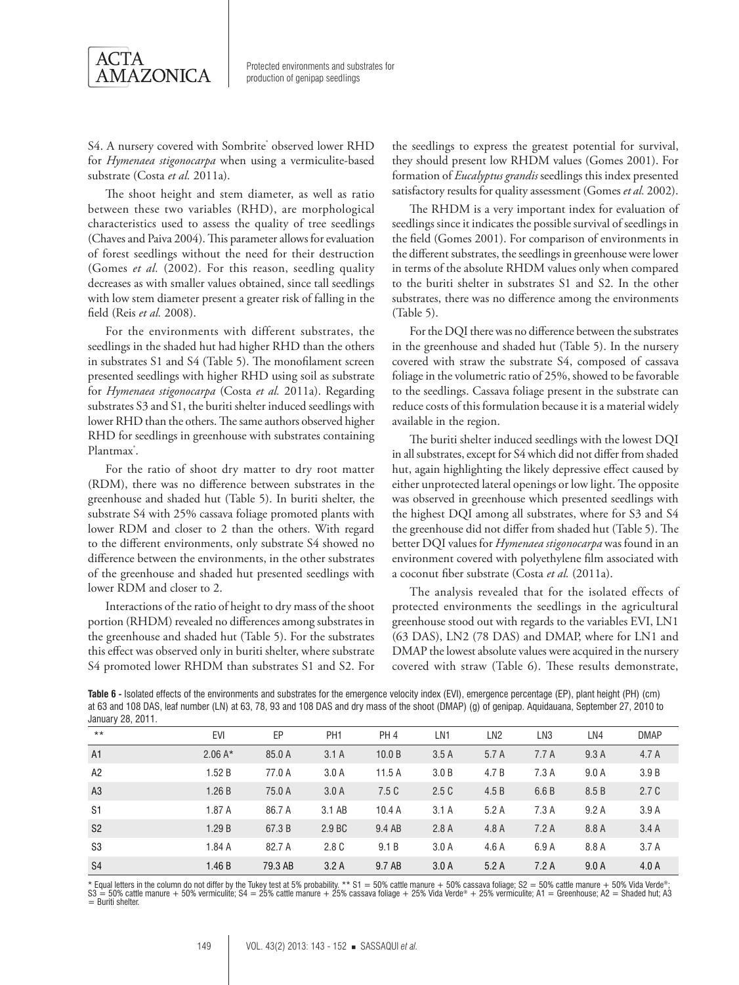

S4. A nursery covered with Sombrite<sup>®</sup> observed lower RHD for *Hymenaea stigonocarpa* when using a vermiculite-based substrate (Costa *et al.* 2011a).

The shoot height and stem diameter, as well as ratio between these two variables (RHD), are morphological characteristics used to assess the quality of tree seedlings (Chaves and Paiva 2004). This parameter allows for evaluation of forest seedlings without the need for their destruction (Gomes *et al.* (2002). For this reason, seedling quality decreases as with smaller values obtained, since tall seedlings with low stem diameter present a greater risk of falling in the field (Reis *et al.* 2008).

For the environments with different substrates, the seedlings in the shaded hut had higher RHD than the others in substrates S1 and S4 (Table 5). The monofilament screen presented seedlings with higher RHD using soil as substrate for *Hymenaea stigonocarpa* (Costa *et al.* 2011a). Regarding substrates S3 and S1, the buriti shelter induced seedlings with lower RHD than the others. The same authors observed higher RHD for seedlings in greenhouse with substrates containing Plantmax<sup>°</sup>.

For the ratio of shoot dry matter to dry root matter (RDM), there was no difference between substrates in the greenhouse and shaded hut (Table 5). In buriti shelter, the substrate S4 with 25% cassava foliage promoted plants with lower RDM and closer to 2 than the others. With regard to the different environments, only substrate S4 showed no difference between the environments, in the other substrates of the greenhouse and shaded hut presented seedlings with lower RDM and closer to 2.

Interactions of the ratio of height to dry mass of the shoot portion (RHDM) revealed no differences among substrates in the greenhouse and shaded hut (Table 5). For the substrates this effect was observed only in buriti shelter, where substrate S4 promoted lower RHDM than substrates S1 and S2. For

the seedlings to express the greatest potential for survival, they should present low RHDM values (Gomes 2001). For formation of *Eucalyptus grandis* seedlings this index presented satisfactory results for quality assessment (Gomes *et al.* 2002).

The RHDM is a very important index for evaluation of seedlings since it indicates the possible survival of seedlings in the field (Gomes 2001). For comparison of environments in the different substrates, the seedlings in greenhouse were lower in terms of the absolute RHDM values only when compared to the buriti shelter in substrates S1 and S2. In the other substrates, there was no difference among the environments (Table 5).

For the DQI there was no difference between the substrates in the greenhouse and shaded hut (Table 5). In the nursery covered with straw the substrate S4, composed of cassava foliage in the volumetric ratio of 25%, showed to be favorable to the seedlings. Cassava foliage present in the substrate can reduce costs of this formulation because it is a material widely available in the region.

The buriti shelter induced seedlings with the lowest DQI in all substrates, except for S4 which did not differ from shaded hut, again highlighting the likely depressive effect caused by either unprotected lateral openings or low light. The opposite was observed in greenhouse which presented seedlings with the highest DQI among all substrates, where for S3 and S4 the greenhouse did not differ from shaded hut (Table 5). The better DQI values for *Hymenaea stigonocarpa* was found in an environment covered with polyethylene film associated with a coconut fiber substrate (Costa *et al.* (2011a).

The analysis revealed that for the isolated effects of protected environments the seedlings in the agricultural greenhouse stood out with regards to the variables EVI, LN1 (63 DAS), LN2 (78 DAS) and DMAP, where for LN1 and DMAP the lowest absolute values were acquired in the nursery covered with straw (Table 6). These results demonstrate,

**Table 6 -** Isolated effects of the environments and substrates for the emergence velocity index (EVI), emergence percentage (EP), plant height (PH) (cm) at 63 and 108 DAS, leaf number (LN) at 63, 78, 93 and 108 DAS and dry mass of the shoot (DMAP) (g) of genipap. Aquidauana, September 27, 2010 to January 28, 2011.

| $\overline{\phantom{a}}$ |            |         |                 |                 |       |                 |       |       |             |
|--------------------------|------------|---------|-----------------|-----------------|-------|-----------------|-------|-------|-------------|
| $***$                    | <b>EVI</b> | EP      | PH <sub>1</sub> | PH <sub>4</sub> | LN1   | LN <sub>2</sub> | LN3   | LN4   | <b>DMAP</b> |
| A1                       | $2.06A*$   | 85.0 A  | 3.1A            | 10.0 B          | 3.5A  | 5.7 A           | 7.7A  | 9.3A  | 4.7 A       |
| A2                       | 1.52B      | 77.0 A  | 3.0A            | 11.5A           | 3.0 B | 4.7 B           | 7.3A  | 9.0 A | 3.9B        |
| A <sub>3</sub>           | 1.26B      | 75.0 A  | 3.0A            | 7.5C            | 2.5C  | 4.5 B           | 6.6B  | 8.5 B | 2.7C        |
| S1                       | 1.87 A     | 86.7 A  | 3.1 AB          | 10.4A           | 3.1A  | 5.2A            | 7.3A  | 9.2A  | 3.9A        |
| S <sub>2</sub>           | 1.29B      | 67.3 B  | 2.9 BC          | 9.4 AB          | 2.8A  | 4.8A            | 7.2A  | 8.8 A | 3.4A        |
| S <sub>3</sub>           | 1.84 A     | 82.7 A  | 2.8 C           | 9.1 B           | 3.0A  | 4.6A            | 6.9 A | 8.8 A | 3.7A        |
| S <sub>4</sub>           | 1.46B      | 79.3 AB | 3.2A            | 9.7 AB          | 3.0A  | 5.2A            | 7.2A  | 9.0A  | 4.0A        |

\* Equal letters in the column do not differ by the Tukey test at 5% probability. \*\* S1 = 50% cattle manure + 50% cassava foliage; S2 = 50% cattle manure + 50% Vida Verde®;<br>S3 = 50% cattle manure + 50% vermiculite; S4 = 25% = Buriti shelter.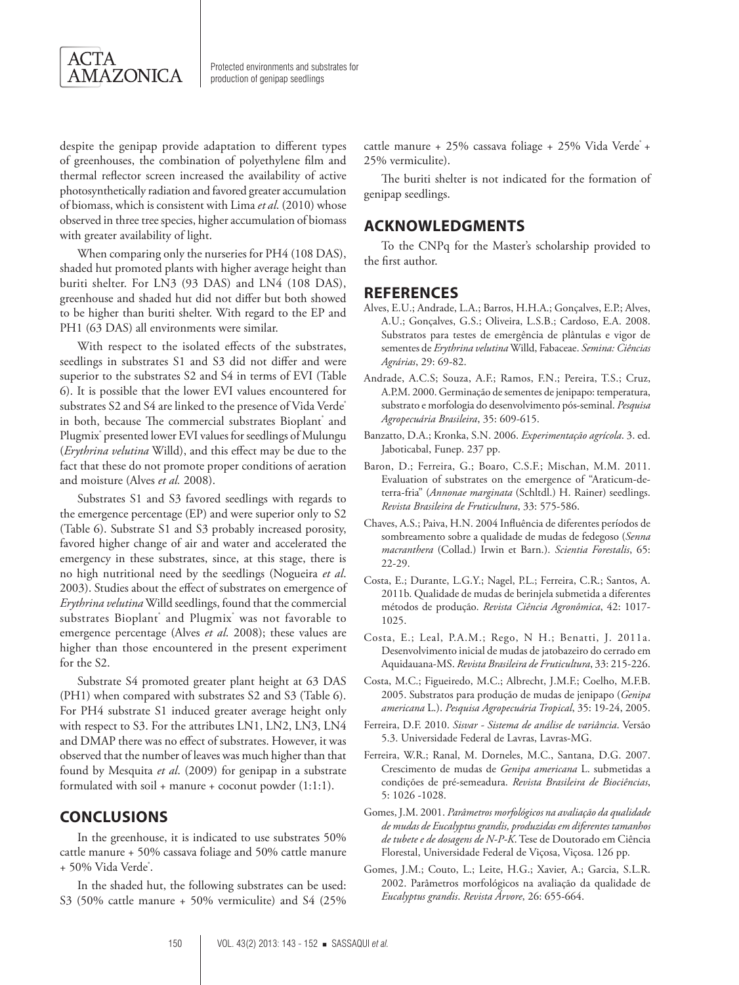

despite the genipap provide adaptation to different types of greenhouses, the combination of polyethylene film and thermal reflector screen increased the availability of active photosynthetically radiation and favored greater accumulation of biomass, which is consistent with Lima *et al*. (2010) whose observed in three tree species, higher accumulation of biomass with greater availability of light.

When comparing only the nurseries for PH4 (108 DAS), shaded hut promoted plants with higher average height than buriti shelter. For LN3 (93 DAS) and LN4 (108 DAS), greenhouse and shaded hut did not differ but both showed to be higher than buriti shelter. With regard to the EP and PH1 (63 DAS) all environments were similar.

With respect to the isolated effects of the substrates, seedlings in substrates S1 and S3 did not differ and were superior to the substrates S2 and S4 in terms of EVI (Table 6). It is possible that the lower EVI values encountered for substrates S2 and S4 are linked to the presence of Vida Verde in both, because The commercial substrates Bioplant<sup>®</sup> and Plugmix® presented lower EVI values for seedlings of Mulungu (*Erythrina velutina* Willd), and this effect may be due to the fact that these do not promote proper conditions of aeration and moisture (Alves *et al.* 2008).

Substrates S1 and S3 favored seedlings with regards to the emergence percentage (EP) and were superior only to S2 (Table 6). Substrate S1 and S3 probably increased porosity, favored higher change of air and water and accelerated the emergency in these substrates, since, at this stage, there is no high nutritional need by the seedlings (Nogueira *et al*. 2003). Studies about the effect of substrates on emergence of *Erythrina velutina* Willd seedlings, found that the commercial substrates Bioplant® and Plugmix® was not favorable to emergence percentage (Alves *et al*. 2008); these values are higher than those encountered in the present experiment for the S2.

Substrate S4 promoted greater plant height at 63 DAS (PH1) when compared with substrates S2 and S3 (Table 6). For PH4 substrate S1 induced greater average height only with respect to S3. For the attributes LN1, LN2, LN3, LN4 and DMAP there was no effect of substrates. However, it was observed that the number of leaves was much higher than that found by Mesquita *et al*. (2009) for genipap in a substrate formulated with soil + manure + coconut powder (1:1:1).

## **CONCLUSIONS**

In the greenhouse, it is indicated to use substrates 50% cattle manure + 50% cassava foliage and 50% cattle manure + 50% Vida Verde<sup>\*</sup>.

In the shaded hut, the following substrates can be used: S3 (50% cattle manure + 50% vermiculite) and S4 (25% cattle manure + 25% cassava foliage + 25% Vida Verde<sup>+</sup> + 25% vermiculite).

The buriti shelter is not indicated for the formation of genipap seedlings.

#### **ACKNOWLEDGMENTS**

To the CNPq for the Master's scholarship provided to the first author.

#### **REFERENCES**

- Alves, E.U.; Andrade, L.A.; Barros, H.H.A.; Gonçalves, E.P.; Alves, A.U.; Gonçalves, G.S.; Oliveira, L.S.B.; Cardoso, E.A. 2008. Substratos para testes de emergência de plântulas e vigor de sementes de *Erythrina velutina* Willd, Fabaceae. *Semina: Ciências Agrárias*, 29: 69-82.
- Andrade, A.C.S; Souza, A.F.; Ramos, F.N.; Pereira, T.S.; Cruz, A.P.M. 2000. Germinação de sementes de jenipapo: temperatura, substrato e morfologia do desenvolvimento pós-seminal. *Pesquisa Agropecuária Brasileira*, 35: 609-615.
- Banzatto, D.A.; Kronka, S.N. 2006. *Experimentação agrícola*. 3. ed. Jaboticabal, Funep. 237 pp.
- Baron, D.; Ferreira, G.; Boaro, C.S.F.; Mischan, M.M. 2011. Evaluation of substrates on the emergence of "Araticum-deterra-fria" (*Annonae marginata* (Schltdl.) H. Rainer) seedlings. *Revista Brasileira de Fruticultura*, 33: 575-586.
- Chaves, A.S.; Paiva, H.N. 2004 Influência de diferentes períodos de sombreamento sobre a qualidade de mudas de fedegoso (*Senna macranthera* (Collad.) Irwin et Barn.). *Scientia Forestalis*, 65: 22-29.
- Costa, E.; Durante, L.G.Y.; Nagel, P.L.; Ferreira, C.R.; Santos, A. 2011b. Qualidade de mudas de berinjela submetida a diferentes métodos de produção. *Revista Ciência Agronômica*, 42: 1017- 1025.
- Costa, E.; Leal, P.A.M.; Rego, N H.; Benatti, J. 2011a. Desenvolvimento inicial de mudas de jatobazeiro do cerrado em Aquidauana-MS. *Revista Brasileira de Fruticultura*, 33: 215-226.
- Costa, M.C.; Figueiredo, M.C.; Albrecht, J.M.F.; Coelho, M.F.B. 2005. Substratos para produção de mudas de jenipapo (*Genipa americana* L.). *Pesquisa Agropecuária Tropical*, 35: 19-24, 2005.
- Ferreira, D.F. 2010. *Sisvar Sistema de análise de variância*. Versão 5.3. Universidade Federal de Lavras, Lavras-MG.
- Ferreira, W.R.; Ranal, M. Dorneles, M.C., Santana, D.G. 2007. Crescimento de mudas de *Genipa americana* L. submetidas a condições de pré-semeadura. *Revista Brasileira de Biociências*, 5: 1026 -1028.
- Gomes, J.M. 2001. *Parâmetros morfológicos na avaliação da qualidade de mudas de Eucalyptus grandis, produzidas em diferentes tamanhos de tubete e de dosagens de N-P-K*. Tese de Doutorado em Ciência Florestal, Universidade Federal de Viçosa, Viçosa. 126 pp.
- Gomes, J.M.; Couto, L.; Leite, H.G.; Xavier, A.; Garcia, S.L.R. 2002. Parâmetros morfológicos na avaliação da qualidade de *Eucalyptus grandis*. *Revista Árvore*, 26: 655-664.